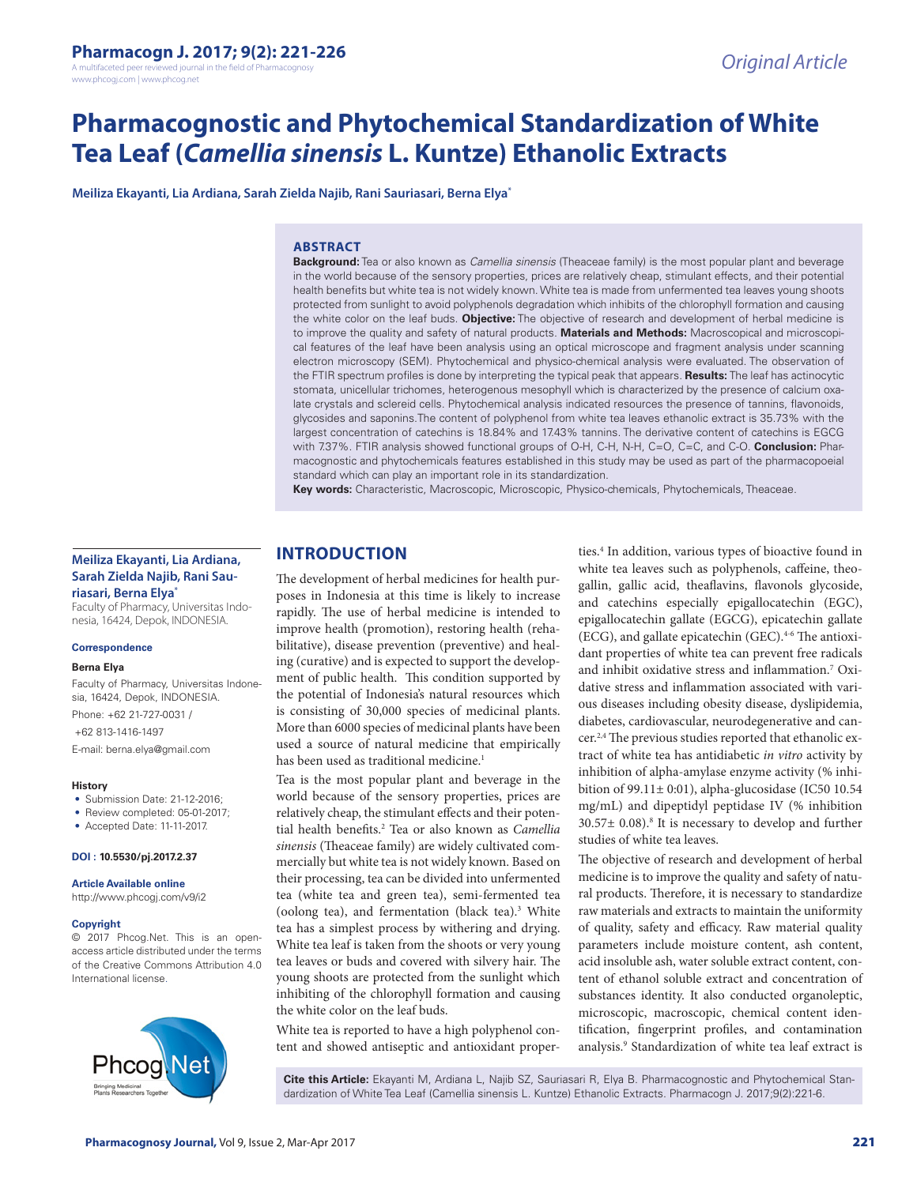A multifaceted peer reviewed journal in the field of Pharmacogno www.phcogj.com | www.phcog.net

# **Pharmacognostic and Phytochemical Standardization of White Tea Leaf (***Camellia sinensis* **L. Kuntze) Ethanolic Extracts**

**Meiliza Ekayanti, Lia Ardiana, Sarah Zielda Najib, Rani Sauriasari, Berna Elya\***

#### **ABSTRACT**

**Background:** Tea or also known as *Camellia sinensis* (Theaceae family) is the most popular plant and beverage in the world because of the sensory properties, prices are relatively cheap, stimulant effects, and their potential health benefits but white tea is not widely known. White tea is made from unfermented tea leaves young shoots protected from sunlight to avoid polyphenols degradation which inhibits of the chlorophyll formation and causing the white color on the leaf buds. **Objective:** The objective of research and development of herbal medicine is to improve the quality and safety of natural products. **Materials and Methods:** Macroscopical and microscopical features of the leaf have been analysis using an optical microscope and fragment analysis under scanning electron microscopy (SEM). Phytochemical and physico-chemical analysis were evaluated. The observation of the FTIR spectrum profiles is done by interpreting the typical peak that appears. **Results:** The leaf has actinocytic stomata, unicellular trichomes, heterogenous mesophyll which is characterized by the presence of calcium oxalate crystals and sclereid cells. Phytochemical analysis indicated resources the presence of tannins, flavonoids, glycosides and saponins.The content of polyphenol from white tea leaves ethanolic extract is 35.73% with the largest concentration of catechins is 18.84% and 17.43% tannins. The derivative content of catechins is EGCG with 7.37%. FTIR analysis showed functional groups of O-H, C-H, N-H, C=O, C=C, and C-O. **Conclusion:** Pharmacognostic and phytochemicals features established in this study may be used as part of the pharmacopoeial standard which can play an important role in its standardization.

**Key words:** Characteristic, Macroscopic, Microscopic, Physico-chemicals, Phytochemicals, Theaceae.

## **Meiliza Ekayanti, Lia Ardiana, Sarah Zielda Najib, Rani Sauriasari, Berna Elya\***

Faculty of Pharmacy, Universitas Indonesia, 16424, Depok, INDONESIA.

#### **Correspondence**

#### **Berna Elya**

Faculty of Pharmacy, Universitas Indonesia, 16424, Depok, INDONESIA. Phone: +62 21-727-0031 /

+62 813-1416-1497

E-mail: berna.elya@gmail.com

#### **History**

- Submission Date: 21-12-2016:
- Review completed: 05-01-2017;
- Accepted Date: 11-11-2017.

#### **DOI : 10.5530/pj.2017.2.37**

**Article Available online** 

http://www.phcogj.com/v9/i2

#### **Copyright**

© 2017 Phcog.Net. This is an openaccess article distributed under the terms of the Creative Commons Attribution 4.0 International license.



# **INTRODUCTION**

The development of herbal medicines for health purposes in Indonesia at this time is likely to increase rapidly. The use of herbal medicine is intended to improve health (promotion), restoring health (rehabilitative), disease prevention (preventive) and healing (curative) and is expected to support the development of public health. This condition supported by the potential of Indonesia's natural resources which is consisting of 30,000 species of medicinal plants. More than 6000 species of medicinal plants have been used a source of natural medicine that empirically has been used as traditional medicine.<sup>1</sup>

Tea is the most popular plant and beverage in the world because of the sensory properties, prices are relatively cheap, the stimulant effects and their potential health benefits.2 Tea or also known as *Camellia sinensis* (Theaceae family) are widely cultivated commercially but white tea is not widely known. Based on their processing, tea can be divided into unfermented tea (white tea and green tea), semi-fermented tea (oolong tea), and fermentation (black tea).<sup>3</sup> White tea has a simplest process by withering and drying. White tea leaf is taken from the shoots or very young tea leaves or buds and covered with silvery hair. The young shoots are protected from the sunlight which inhibiting of the chlorophyll formation and causing the white color on the leaf buds.

White tea is reported to have a high polyphenol content and showed antiseptic and antioxidant proper-

ties.<sup>4</sup> In addition, various types of bioactive found in white tea leaves such as polyphenols, caffeine, theogallin, gallic acid, theaflavins, flavonols glycoside, and catechins especially epigallocatechin (EGC), epigallocatechin gallate (EGCG), epicatechin gallate (ECG), and gallate epicatechin (GEC). $4-6$  The antioxidant properties of white tea can prevent free radicals and inhibit oxidative stress and inflammation.7 Oxidative stress and inflammation associated with various diseases including obesity disease, dyslipidemia, diabetes, cardiovascular, neurodegenerative and cancer.2,4 The previous studies reported that ethanolic extract of white tea has antidiabetic *in vitro* activity by inhibition of alpha-amylase enzyme activity (% inhibition of 99.11± 0:01), alpha-glucosidase (IC50 10.54 mg/mL) and dipeptidyl peptidase IV (% inhibition  $30.57 \pm 0.08$ .<sup>8</sup> It is necessary to develop and further studies of white tea leaves.

The objective of research and development of herbal medicine is to improve the quality and safety of natural products. Therefore, it is necessary to standardize raw materials and extracts to maintain the uniformity of quality, safety and efficacy. Raw material quality parameters include moisture content, ash content, acid insoluble ash, water soluble extract content, content of ethanol soluble extract and concentration of substances identity. It also conducted organoleptic, microscopic, macroscopic, chemical content identification, fingerprint profiles, and contamination analysis.9 Standardization of white tea leaf extract is

**Cite this Article:** Ekayanti M, Ardiana L, Najib SZ, Sauriasari R, Elya B. Pharmacognostic and Phytochemical Standardization of White Tea Leaf (Camellia sinensis L. Kuntze) Ethanolic Extracts. Pharmacogn J. 2017;9(2):221-6.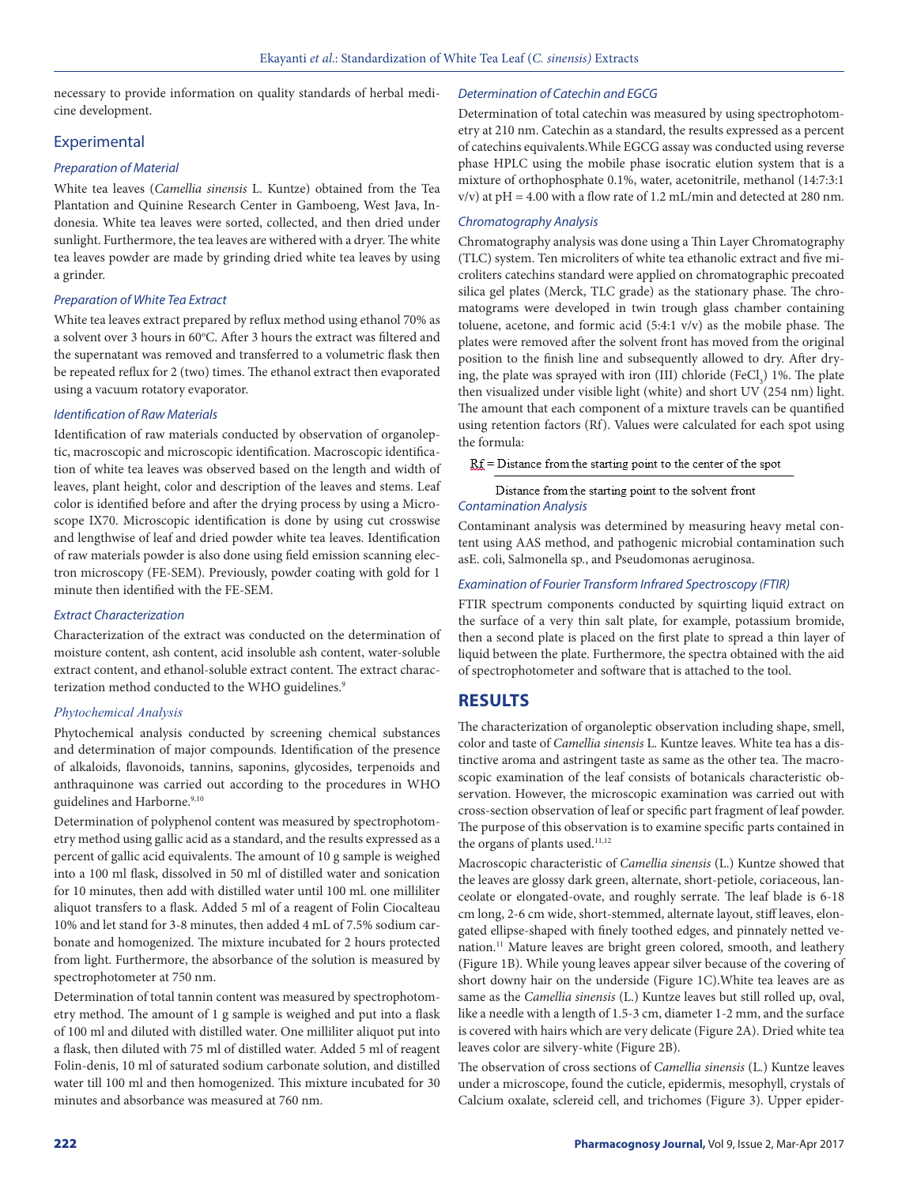necessary to provide information on quality standards of herbal medicine development.

## Experimental

#### *Preparation of Material*

White tea leaves (*Camellia sinensis* L. Kuntze) obtained from the Tea Plantation and Quinine Research Center in Gamboeng, West Java, Indonesia. White tea leaves were sorted, collected, and then dried under sunlight. Furthermore, the tea leaves are withered with a dryer. The white tea leaves powder are made by grinding dried white tea leaves by using a grinder.

#### *Preparation of White Tea Extract*

White tea leaves extract prepared by reflux method using ethanol 70% as a solvent over 3 hours in 60°C. After 3 hours the extract was filtered and the supernatant was removed and transferred to a volumetric flask then be repeated reflux for 2 (two) times. The ethanol extract then evaporated using a vacuum rotatory evaporator.

#### *Identification of Raw Materials*

Identification of raw materials conducted by observation of organoleptic, macroscopic and microscopic identification. Macroscopic identification of white tea leaves was observed based on the length and width of leaves, plant height, color and description of the leaves and stems. Leaf color is identified before and after the drying process by using a Microscope IX70. Microscopic identification is done by using cut crosswise and lengthwise of leaf and dried powder white tea leaves. Identification of raw materials powder is also done using field emission scanning electron microscopy (FE-SEM). Previously, powder coating with gold for 1 minute then identified with the FE-SEM.

## *Extract Characterization*

Characterization of the extract was conducted on the determination of moisture content, ash content, acid insoluble ash content, water-soluble extract content, and ethanol-soluble extract content. The extract characterization method conducted to the WHO guidelines.<sup>9</sup>

## *Phytochemical Analysis*

Phytochemical analysis conducted by screening chemical substances and determination of major compounds. Identification of the presence of alkaloids, flavonoids, tannins, saponins, glycosides, terpenoids and anthraquinone was carried out according to the procedures in WHO guidelines and Harborne.<sup>9,10</sup>

Determination of polyphenol content was measured by spectrophotometry method using gallic acid as a standard, and the results expressed as a percent of gallic acid equivalents. The amount of 10 g sample is weighed into a 100 ml flask, dissolved in 50 ml of distilled water and sonication for 10 minutes, then add with distilled water until 100 ml. one milliliter aliquot transfers to a flask. Added 5 ml of a reagent of Folin Ciocalteau 10% and let stand for 3-8 minutes, then added 4 mL of 7.5% sodium carbonate and homogenized. The mixture incubated for 2 hours protected from light. Furthermore, the absorbance of the solution is measured by spectrophotometer at 750 nm.

Determination of total tannin content was measured by spectrophotometry method. The amount of 1 g sample is weighed and put into a flask of 100 ml and diluted with distilled water. One milliliter aliquot put into a flask, then diluted with 75 ml of distilled water. Added 5 ml of reagent Folin-denis, 10 ml of saturated sodium carbonate solution, and distilled water till 100 ml and then homogenized. This mixture incubated for 30 minutes and absorbance was measured at 760 nm.

#### *Determination of Catechin and EGCG*

Determination of total catechin was measured by using spectrophotometry at 210 nm. Catechin as a standard, the results expressed as a percent of catechins equivalents.While EGCG assay was conducted using reverse phase HPLC using the mobile phase isocratic elution system that is a mixture of orthophosphate 0.1%, water, acetonitrile, methanol (14:7:3:1  $v/v$ ) at pH = 4.00 with a flow rate of 1.2 mL/min and detected at 280 nm.

#### *Chromatography Analysis*

Chromatography analysis was done using a Thin Layer Chromatography (TLC) system. Ten microliters of white tea ethanolic extract and five microliters catechins standard were applied on chromatographic precoated silica gel plates (Merck, TLC grade) as the stationary phase. The chromatograms were developed in twin trough glass chamber containing toluene, acetone, and formic acid (5:4:1 v/v) as the mobile phase. The plates were removed after the solvent front has moved from the original position to the finish line and subsequently allowed to dry. After drying, the plate was sprayed with iron (III) chloride (FeCl<sub>3</sub>) 1%. The plate then visualized under visible light (white) and short UV (254 nm) light. The amount that each component of a mixture travels can be quantified using retention factors (Rf). Values were calculated for each spot using the formula:

 $Rf$  = Distance from the starting point to the center of the spot

Distance from the starting point to the solvent front

## *Contamination Analysis*

Contaminant analysis was determined by measuring heavy metal content using AAS method, and pathogenic microbial contamination such asE. coli, Salmonella sp., and Pseudomonas aeruginosa.

## *Examination of Fourier Transform Infrared Spectroscopy (FTIR)*

FTIR spectrum components conducted by squirting liquid extract on the surface of a very thin salt plate, for example, potassium bromide, then a second plate is placed on the first plate to spread a thin layer of liquid between the plate. Furthermore, the spectra obtained with the aid of spectrophotometer and software that is attached to the tool.

# **RESULTS**

The characterization of organoleptic observation including shape, smell, color and taste of *Camellia sinensis* L. Kuntze leaves. White tea has a distinctive aroma and astringent taste as same as the other tea. The macroscopic examination of the leaf consists of botanicals characteristic observation. However, the microscopic examination was carried out with cross-section observation of leaf or specific part fragment of leaf powder. The purpose of this observation is to examine specific parts contained in the organs of plants used.<sup>11,12</sup>

Macroscopic characteristic of *Camellia sinensis* (L.) Kuntze showed that the leaves are glossy dark green, alternate, short-petiole, coriaceous, lanceolate or elongated-ovate, and roughly serrate. The leaf blade is 6-18 cm long, 2-6 cm wide, short-stemmed, alternate layout, stiff leaves, elongated ellipse-shaped with finely toothed edges, and pinnately netted venation.<sup>11</sup> Mature leaves are bright green colored, smooth, and leathery (Figure 1B). While young leaves appear silver because of the covering of short downy hair on the underside (Figure 1C).White tea leaves are as same as the *Camellia sinensis* (L.) Kuntze leaves but still rolled up, oval, like a needle with a length of 1.5-3 cm, diameter 1-2 mm, and the surface is covered with hairs which are very delicate (Figure 2A). Dried white tea leaves color are silvery-white (Figure 2B).

The observation of cross sections of *Camellia sinensis* (L.) Kuntze leaves under a microscope, found the cuticle, epidermis, mesophyll, crystals of Calcium oxalate, sclereid cell, and trichomes (Figure 3). Upper epider-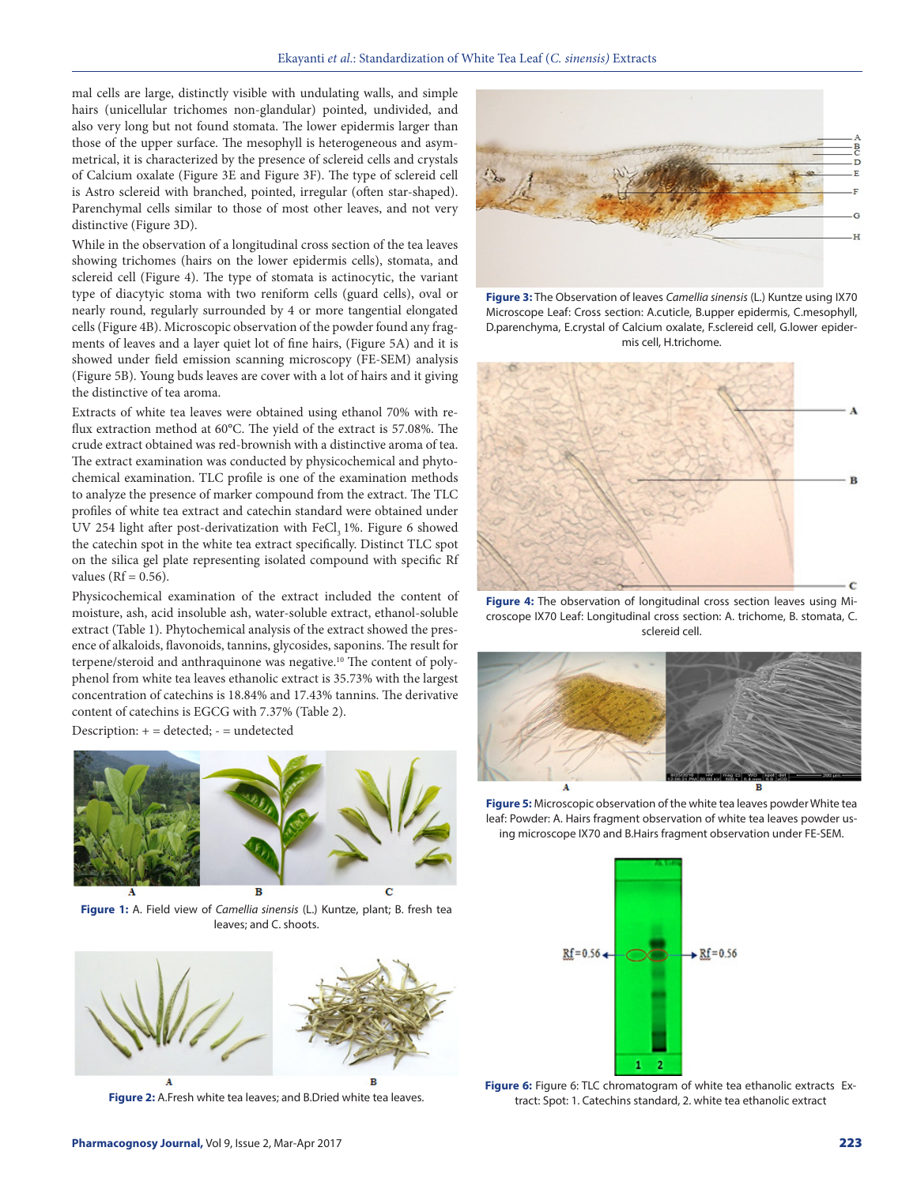mal cells are large, distinctly visible with undulating walls, and simple hairs (unicellular trichomes non-glandular) pointed, undivided, and also very long but not found stomata. The lower epidermis larger than those of the upper surface. The mesophyll is heterogeneous and asymmetrical, it is characterized by the presence of sclereid cells and crystals of Calcium oxalate (Figure 3E and Figure 3F). The type of sclereid cell is Astro sclereid with branched, pointed, irregular (often star-shaped). Parenchymal cells similar to those of most other leaves, and not very distinctive (Figure 3D).

While in the observation of a longitudinal cross section of the tea leaves showing trichomes (hairs on the lower epidermis cells), stomata, and sclereid cell (Figure 4). The type of stomata is actinocytic, the variant type of diacytyic stoma with two reniform cells (guard cells), oval or nearly round, regularly surrounded by 4 or more tangential elongated cells (Figure 4B). Microscopic observation of the powder found any fragments of leaves and a layer quiet lot of fine hairs, (Figure 5A) and it is showed under field emission scanning microscopy (FE-SEM) analysis (Figure 5B). Young buds leaves are cover with a lot of hairs and it giving the distinctive of tea aroma.

Extracts of white tea leaves were obtained using ethanol 70% with reflux extraction method at 60°C. The yield of the extract is 57.08%. The crude extract obtained was red-brownish with a distinctive aroma of tea. The extract examination was conducted by physicochemical and phytochemical examination. TLC profile is one of the examination methods to analyze the presence of marker compound from the extract. The TLC profiles of white tea extract and catechin standard were obtained under UV 254 light after post-derivatization with  $FeCl<sub>3</sub> 1$ %. Figure 6 showed the catechin spot in the white tea extract specifically. Distinct TLC spot on the silica gel plate representing isolated compound with specific Rf values ( $Rf = 0.56$ ).

Physicochemical examination of the extract included the content of moisture, ash, acid insoluble ash, water-soluble extract, ethanol-soluble extract (Table 1). Phytochemical analysis of the extract showed the presence of alkaloids, flavonoids, tannins, glycosides, saponins. The result for terpene/steroid and anthraquinone was negative.<sup>10</sup> The content of polyphenol from white tea leaves ethanolic extract is 35.73% with the largest concentration of catechins is 18.84% and 17.43% tannins. The derivative content of catechins is EGCG with 7.37% (Table 2).

Description: + = detected; - = undetected



**Figure 1:** A. Field view of *Camellia sinensis* (L.) Kuntze, plant; B. fresh tea leaves; and C. shoots.



**Figure 2:** A.Fresh white tea leaves; and B.Dried white tea leaves.



**Figure 3:** The Observation of leaves *Camellia sinensis* (L.) Kuntze using IX70 Microscope Leaf: Cross section: A.cuticle, B.upper epidermis, C.mesophyll, D.parenchyma, E.crystal of Calcium oxalate, F.sclereid cell, G.lower epidermis cell, H.trichome.



**Figure 4:** The observation of longitudinal cross section leaves using Microscope IX70 Leaf: Longitudinal cross section: A. trichome, B. stomata, C. sclereid cell.



**Figure 5:** Microscopic observation of the white tea leaves powder White tea leaf: Powder: A. Hairs fragment observation of white tea leaves powder using microscope IX70 and B.Hairs fragment observation under FE-SEM.



**Figure 6:** Figure 6: TLC chromatogram of white tea ethanolic extracts Extract: Spot: 1. Catechins standard, 2. white tea ethanolic extract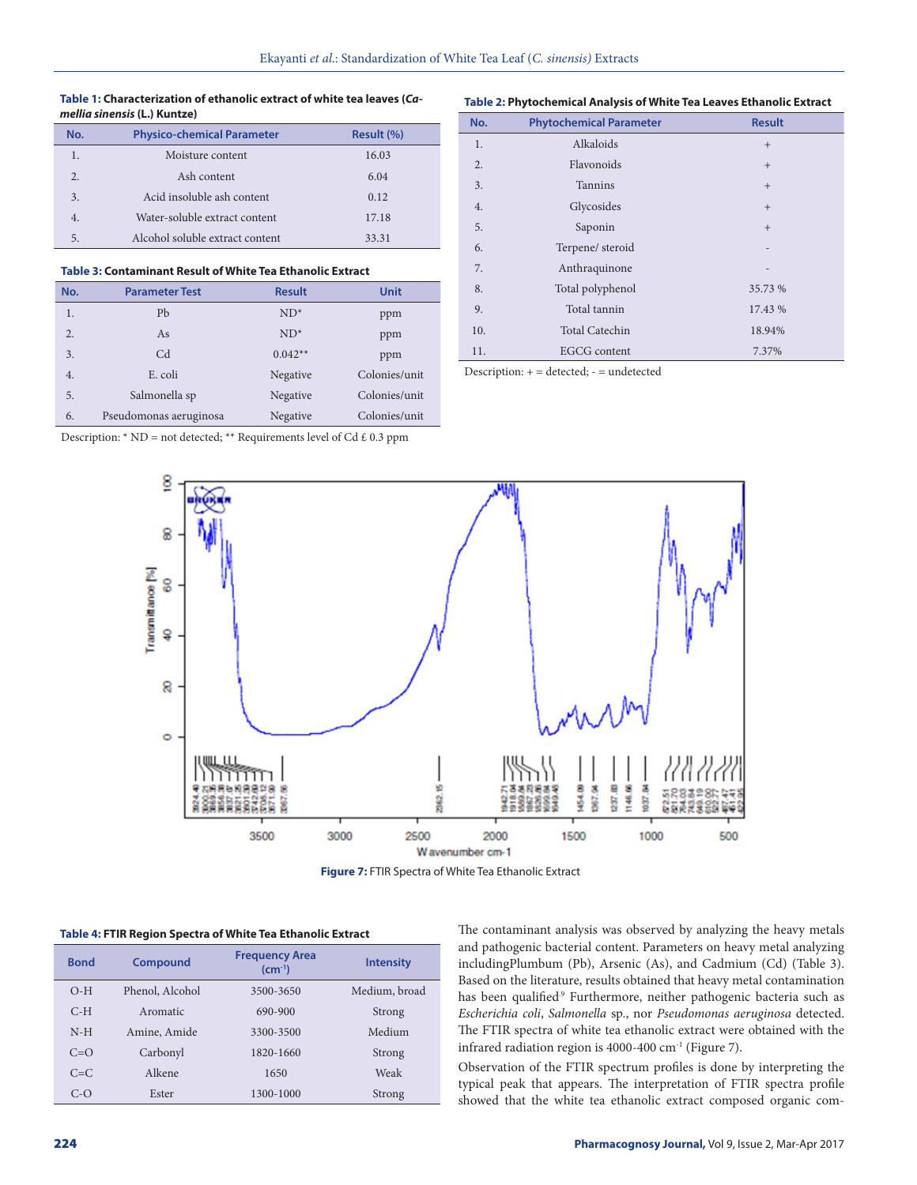#### **Table 1: Characterization of ethanolic extract of white tea leaves (***Camellia sinensis* **(L.) Kuntze)**

#### **Table 2: Phytochemical Analysis of White Tea Leaves Ethanolic Extract**

| No. | <b>Physico-chemical Parameter</b> | Result (%) |
|-----|-----------------------------------|------------|
|     | Moisture content                  | 16.03      |
| 2.  | Ash content                       | 6.04       |
| 3.  | Acid insoluble ash content        | 0.12       |
| 4.  | Water-soluble extract content     | 17.18      |
| 5.  | Alcohol soluble extract content   | 33.31      |

#### **Table 3: Contaminant Result of White Tea Ethanolic Extract**

| No.              | <b>Parameter Test</b>  | <b>Result</b> | <b>Unit</b>   |
|------------------|------------------------|---------------|---------------|
|                  |                        |               |               |
| 1.               | Pb                     | $ND^*$        | ppm           |
| $\overline{2}$ . | As                     | $ND^*$        | ppm           |
|                  |                        |               |               |
| 3.               | C <sub>d</sub>         | $0.042**$     | ppm           |
| 4.               | E. coli                | Negative      | Colonies/unit |
| 5.               | Salmonella sp          | Negative      | Colonies/unit |
|                  |                        |               |               |
| 6.               | Pseudomonas aeruginosa | Negative      | Colonies/unit |

| No. | <b>Phytochemical Parameter</b> | <b>Result</b> |
|-----|--------------------------------|---------------|
| 1.  | Alkaloids                      | $+$           |
| 2.  | Flavonoids                     | $+$           |
| 3.  | <b>Tannins</b>                 | $+$           |
| 4.  | Glycosides                     | $+$           |
| 5.  | Saponin                        | $+$           |
| 6.  | Terpene/ steroid               |               |
| 7.  | Anthraquinone                  |               |
| 8.  | Total polyphenol               | 35.73 %       |
| 9.  | Total tannin                   | 17.43 %       |
| 10. | <b>Total Catechin</b>          | 18.94%        |
| 11. | <b>EGCG</b> content            | 7.37%         |

Description: + = detected; - = undetected

Description: \* ND = not detected; \*\* Requirements level of Cd  $\pounds$  0.3 ppm



**Figure 7:** FTIR Spectra of White Tea Ethanolic Extract

#### **Table 4: FTIR Region Spectra of White Tea Ethanolic Extract**

| <b>Bond</b> | <b>Compound</b> | <b>Frequency Area</b><br>$(cm^{-1})$ | <b>Intensity</b> |
|-------------|-----------------|--------------------------------------|------------------|
| $O-H$       | Phenol, Alcohol | 3500-3650                            | Medium, broad    |
| $C-H$       | Aromatic        | 690-900                              | Strong           |
| $N-H$       | Amine, Amide    | 3300-3500                            | Medium           |
| $C=\Omega$  | Carbonyl        | 1820-1660                            | Strong           |
| $C=C$       | Alkene          | 1650                                 | Weak             |
| $C-O$       | Ester           | 1300-1000                            | Strong           |

The contaminant analysis was observed by analyzing the heavy metals and pathogenic bacterial content. Parameters on heavy metal analyzing includingPlumbum (Pb), Arsenic (As), and Cadmium (Cd) (Table 3). Based on the literature, results obtained that heavy metal contamination has been qualified.<sup>9</sup> Furthermore, neither pathogenic bacteria such as *Escherichia coli*, *Salmonella* sp., nor *Pseudomonas aeruginosa* detected. The FTIR spectra of white tea ethanolic extract were obtained with the infrared radiation region is 4000-400 cm-1 (Figure 7).

Observation of the FTIR spectrum profiles is done by interpreting the typical peak that appears. The interpretation of FTIR spectra profile showed that the white tea ethanolic extract composed organic com-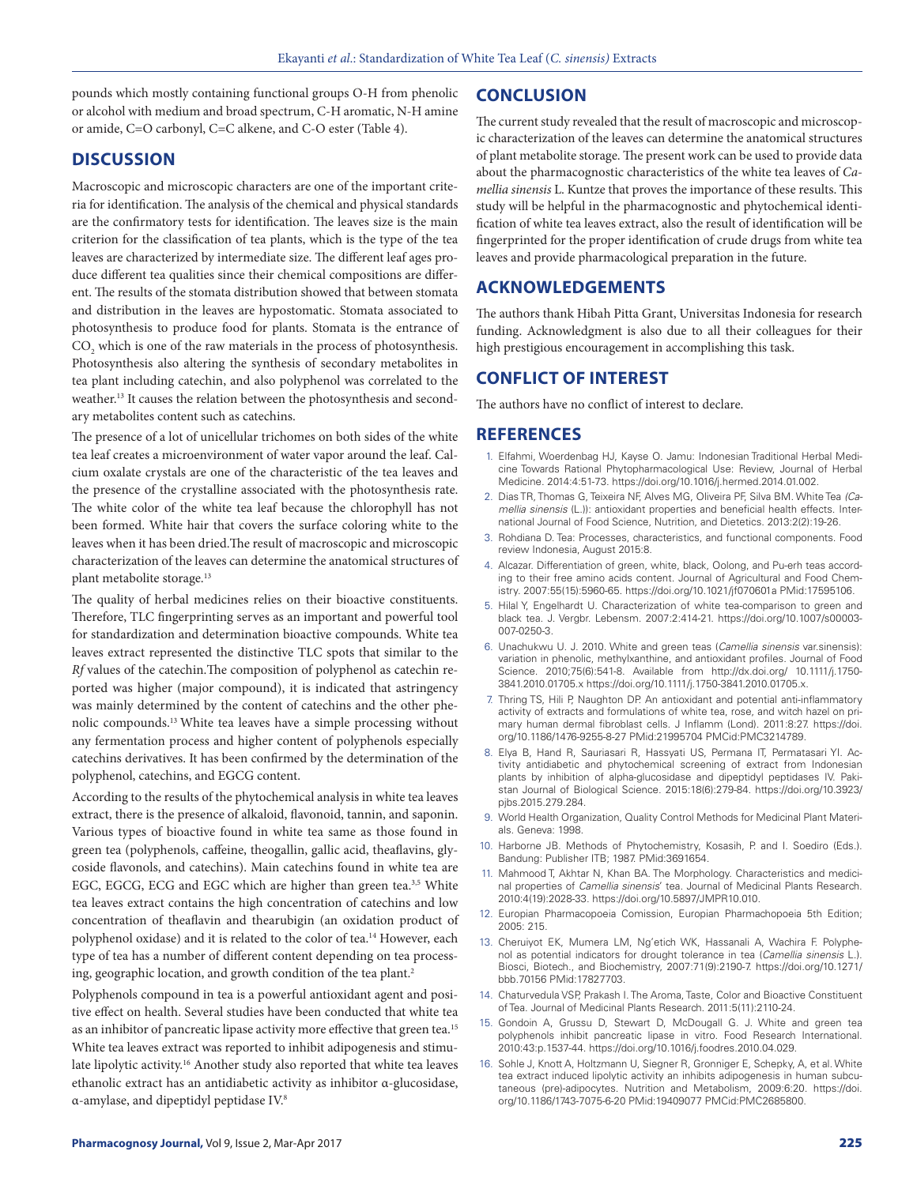pounds which mostly containing functional groups O-H from phenolic or alcohol with medium and broad spectrum, C-H aromatic, N-H amine or amide, C=O carbonyl, C=C alkene, and C-O ester (Table 4).

## **DISCUSSION**

Macroscopic and microscopic characters are one of the important criteria for identification. The analysis of the chemical and physical standards are the confirmatory tests for identification. The leaves size is the main criterion for the classification of tea plants, which is the type of the tea leaves are characterized by intermediate size. The different leaf ages produce different tea qualities since their chemical compositions are different. The results of the stomata distribution showed that between stomata and distribution in the leaves are hypostomatic. Stomata associated to photosynthesis to produce food for plants. Stomata is the entrance of  $\mathrm{CO}_2$  which is one of the raw materials in the process of photosynthesis. Photosynthesis also altering the synthesis of secondary metabolites in tea plant including catechin, and also polyphenol was correlated to the weather.13 It causes the relation between the photosynthesis and secondary metabolites content such as catechins.

The presence of a lot of unicellular trichomes on both sides of the white tea leaf creates a microenvironment of water vapor around the leaf. Calcium oxalate crystals are one of the characteristic of the tea leaves and the presence of the crystalline associated with the photosynthesis rate. The white color of the white tea leaf because the chlorophyll has not been formed. White hair that covers the surface coloring white to the leaves when it has been dried.The result of macroscopic and microscopic characterization of the leaves can determine the anatomical structures of plant metabolite storage.<sup>13</sup>

The quality of herbal medicines relies on their bioactive constituents. Therefore, TLC fingerprinting serves as an important and powerful tool for standardization and determination bioactive compounds. White tea leaves extract represented the distinctive TLC spots that similar to the *Rf* values of the catechin.The composition of polyphenol as catechin reported was higher (major compound), it is indicated that astringency was mainly determined by the content of catechins and the other phenolic compounds.13 White tea leaves have a simple processing without any fermentation process and higher content of polyphenols especially catechins derivatives. It has been confirmed by the determination of the polyphenol, catechins, and EGCG content.

According to the results of the phytochemical analysis in white tea leaves extract, there is the presence of alkaloid, flavonoid, tannin, and saponin. Various types of bioactive found in white tea same as those found in green tea (polyphenols, caffeine, theogallin, gallic acid, theaflavins, glycoside flavonols, and catechins). Main catechins found in white tea are EGC, EGCG, ECG and EGC which are higher than green tea.<sup>3,5</sup> White tea leaves extract contains the high concentration of catechins and low concentration of theaflavin and thearubigin (an oxidation product of polyphenol oxidase) and it is related to the color of tea.<sup>14</sup> However, each type of tea has a number of different content depending on tea processing, geographic location, and growth condition of the tea plant.<sup>2</sup>

Polyphenols compound in tea is a powerful antioxidant agent and positive effect on health. Several studies have been conducted that white tea as an inhibitor of pancreatic lipase activity more effective that green tea.<sup>15</sup> White tea leaves extract was reported to inhibit adipogenesis and stimulate lipolytic activity.<sup>16</sup> Another study also reported that white tea leaves ethanolic extract has an antidiabetic activity as inhibitor α-glucosidase, α-amylase, and dipeptidyl peptidase IV.8

## **CONCLUSION**

The current study revealed that the result of macroscopic and microscopic characterization of the leaves can determine the anatomical structures of plant metabolite storage. The present work can be used to provide data about the pharmacognostic characteristics of the white tea leaves of *Camellia sinensis* L. Kuntze that proves the importance of these results. This study will be helpful in the pharmacognostic and phytochemical identification of white tea leaves extract, also the result of identification will be fingerprinted for the proper identification of crude drugs from white tea leaves and provide pharmacological preparation in the future.

## **ACKNOWLEDGEMENTS**

The authors thank Hibah Pitta Grant, Universitas Indonesia for research funding. Acknowledgment is also due to all their colleagues for their high prestigious encouragement in accomplishing this task.

# **CONFLICT OF INTEREST**

The authors have no conflict of interest to declare.

#### **REFERENCES**

- 1. Elfahmi, Woerdenbag HJ, Kayse O. Jamu: Indonesian Traditional Herbal Medicine Towards Rational Phytopharmacological Use: Review, Journal of Herbal Medicine. 2014:4:51-73. https://doi.org/10.1016/j.hermed.2014.01.002.
- 2. Dias TR, Thomas G, Teixeira NF, Alves MG, Oliveira PF, Silva BM. White Tea *(Camellia sinensis* (L.)): antioxidant properties and beneficial health effects. International Journal of Food Science, Nutrition, and Dietetics. 2013:2(2):19-26.
- 3. Rohdiana D. Tea: Processes, characteristics, and functional components. Food review Indonesia, August 2015:8.
- 4. Alcazar. Differentiation of green, white, black, Oolong, and Pu-erh teas according to their free amino acids content. Journal of Agricultural and Food Chemistry. 2007:55(15):5960-65. https://doi.org/10.1021/jf070601a PMid:17595106.
- 5. Hilal Y, Engelhardt U. Characterization of white tea-comparison to green and black tea. J. Vergbr. Lebensm. 2007:2:414-21. https://doi.org/10.1007/s00003- 007-0250-3.
- 6. Unachukwu U. J. 2010. White and green teas (*Camellia sinensis* var.sinensis): variation in phenolic, methylxanthine, and antioxidant profiles. Journal of Food Science. 2010;75(6):541-8. Available from http://dx.doi.org/ 10.1111/j.1750- 3841.2010.01705.x https://doi.org/10.1111/j.1750-3841.2010.01705.x.
- 7. Thring TS, Hili P, Naughton DP. An antioxidant and potential anti-inflammatory activity of extracts and formulations of white tea, rose, and witch hazel on primary human dermal fibroblast cells. J Inflamm (Lond). 2011:8:27. https://doi. org/10.1186/1476-9255-8-27 PMid:21995704 PMCid:PMC3214789.
- 8. Elya B, Hand R, Sauriasari R, Hassyati US, Permana IT, Permatasari YI. Activity antidiabetic and phytochemical screening of extract from Indonesian plants by inhibition of alpha-glucosidase and dipeptidyl peptidases IV. Pakistan Journal of Biological Science. 2015:18(6):279-84. https://doi.org/10.3923/ pjbs.2015.279.284.
- 9. World Health Organization, Quality Control Methods for Medicinal Plant Materials. Geneva: 1998.
- 10. Harborne JB. Methods of Phytochemistry, Kosasih, P. and I. Soediro (Eds.). Bandung: Publisher ITB; 1987. PMid:3691654.
- 11. Mahmood T, Akhtar N, Khan BA. The Morphology. Characteristics and medicinal properties of *Camellia sinensis*' tea. Journal of Medicinal Plants Research. 2010:4(19):2028-33. https://doi.org/10.5897/JMPR10.010.
- 12. Europian Pharmacopoeia Comission, Europian Pharmachopoeia 5th Edition; 2005: 215.
- 13. Cheruiyot EK, Mumera LM, Ng'etich WK, Hassanali A, Wachira F. Polyphenol as potential indicators for drought tolerance in tea (*Camellia sinensis* L.). Biosci, Biotech., and Biochemistry, 2007:71(9):2190-7. https://doi.org/10.1271/ bbb.70156 PMid:17827703.
- 14. Chaturvedula VSP, Prakash I. The Aroma, Taste, Color and Bioactive Constituent of Tea. Journal of Medicinal Plants Research. 2011:5(11):2110-24.
- 15. Gondoin A, Grussu D, Stewart D, McDougall G. J. White and green tea polyphenols inhibit pancreatic lipase in vitro. Food Research International. 2010:43:p.1537-44. https://doi.org/10.1016/j.foodres.2010.04.029.
- 16. Sohle J, Knott A, Holtzmann U, Siegner R, Gronniger E, Schepky, A, et al. White tea extract induced lipolytic activity an inhibits adipogenesis in human subcutaneous (pre)-adipocytes. Nutrition and Metabolism, 2009:6:20. https://doi. org/10.1186/1743-7075-6-20 PMid:19409077 PMCid:PMC2685800.